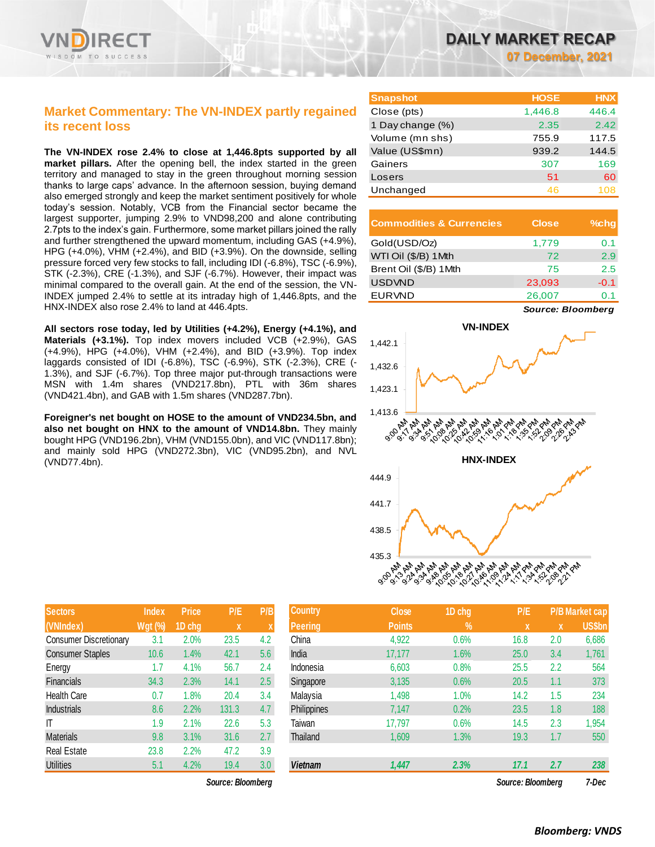

# **Market Commentary: The VN-INDEX partly regained its recent loss**

**The VN-INDEX rose 2.4% to close at 1,446.8pts supported by all market pillars.** After the opening bell, the index started in the green territory and managed to stay in the green throughout morning session thanks to large caps' advance. In the afternoon session, buying demand also emerged strongly and keep the market sentiment positively for whole today's session. Notably, VCB from the Financial sector became the largest supporter, jumping 2.9% to VND98,200 and alone contributing 2.7pts to the index's gain. Furthermore, some market pillars joined the rally and further strengthened the upward momentum, including GAS (+4.9%), HPG (+4.0%), VHM (+2.4%), and BID (+3.9%). On the downside, selling pressure forced very few stocks to fall, including IDI (-6.8%), TSC (-6.9%), STK (-2.3%), CRE (-1.3%), and SJF (-6.7%). However, their impact was minimal compared to the overall gain. At the end of the session, the VN-INDEX jumped 2.4% to settle at its intraday high of 1,446.8pts, and the HNX-INDEX also rose 2.4% to land at 446.4pts.

**All sectors rose today, led by Utilities (+4.2%), Energy (+4.1%), and Materials (+3.1%).** Top index movers included VCB (+2.9%), GAS (+4.9%), HPG (+4.0%), VHM (+2.4%), and BID (+3.9%). Top index laggards consisted of IDI (-6.8%), TSC (-6.9%), STK (-2.3%), CRE (- 1.3%), and SJF (-6.7%). Top three major put-through transactions were MSN with 1.4m shares (VND217.8bn), PTL with 36m shares (VND421.4bn), and GAB with 1.5m shares (VND287.7bn).

**Foreigner's net bought on HOSE to the amount of VND234.5bn, and also net bought on HNX to the amount of VND14.8bn.** They mainly bought HPG (VND196.2bn), VHM (VND155.0bn), and VIC (VND117.8bn); and mainly sold HPG (VND272.3bn), VIC (VND95.2bn), and NVL (VND77.4bn).

| <b>Sectors</b>                | <b>Index</b>   | <b>Price</b> | P/E   | P/B |
|-------------------------------|----------------|--------------|-------|-----|
| (VNIndex)                     | <b>Wgt (%)</b> | 1D chg       | X     | X   |
| <b>Consumer Discretionary</b> | 3.1            | 2.0%         | 23.5  | 4.2 |
| <b>Consumer Staples</b>       | 10.6           | 1.4%         | 42.1  | 5.6 |
| Energy                        | 1.7            | 4.1%         | 56.7  | 2.4 |
| <b>Financials</b>             | 34.3           | 2.3%         | 14.1  | 2.5 |
| <b>Health Care</b>            | 0.7            | 1.8%         | 20.4  | 3.4 |
| <b>Industrials</b>            | 8.6            | 2.2%         | 131.3 | 4.7 |
| IΤ                            | 1.9            | 2.1%         | 22.6  | 5.3 |
| <b>Materials</b>              | 9.8            | 3.1%         | 31.6  | 2.7 |
| <b>Real Estate</b>            | 23.8           | 2.2%         | 47.2  | 3.9 |
| <b>Utilities</b>              | 5.1            | 4.2%         | 19.4  | 3.0 |

 $Source: Bloomberg$ 

**07 December, 2021**

| <b>Snapshot</b>  | <b>HOSE</b> | <b>HNX</b> |
|------------------|-------------|------------|
| Close (pts)      | 1,446.8     | 446.4      |
| 1 Day change (%) | 2.35        | 2.42       |
| Volume (mn shs)  | 755.9       | 117.5      |
| Value (US\$mn)   | 939.2       | 144.5      |
| Gainers          | 307         | 169        |
| Losers           | 51          | 60         |
| Unchanged        | 46          | 108        |

| <b>Commodities &amp; Currencies</b> | <b>Close</b> | $%$ chq |
|-------------------------------------|--------------|---------|
| Gold(USD/Oz)                        | 1,779        | 0.1     |
| WTI Oil (\$/B) 1Mth                 | 72           | 2.9     |
| Brent Oil (\$/B) 1Mth               | 75           | 2.5     |
| <b>USDVND</b>                       | 23,093       | $-0.1$  |
| <b>EURVND</b>                       | 26,007       | ດ 1     |

*Source: Bloomberg*



| Sectors                       | Index          | <b>Price</b> | P/E               | P/B              | <b>Country</b> | <b>Close</b>  | 1D chg | P/E               |     | 'P/B Market cap |
|-------------------------------|----------------|--------------|-------------------|------------------|----------------|---------------|--------|-------------------|-----|-----------------|
| (VNIndex)                     | <b>Wgt (%)</b> | 1D chg       | X                 |                  | <b>Peering</b> | <b>Points</b> | $\%$   | X                 | X   | US\$bn          |
| <b>Consumer Discretionary</b> | 3.1            | 2.0%         | 23.5              | 4.2              | China          | 4,922         | 0.6%   | 16.8              | 2.0 | 6,686           |
| <b>Consumer Staples</b>       | 10.6           | 1.4%         | 42.1              | 5.6              | India          | 17,177        | 1.6%   | 25.0              | 3.4 | 1,761           |
| Energy                        | 1.7            | 4.1%         | 56.7              | 2.4              | Indonesia      | 6,603         | 0.8%   | 25.5              | 2.2 | 564             |
| Financials                    | 34.3           | 2.3%         | 14.1              | 2.5              | Singapore      | 3,135         | 0.6%   | 20.5              | 1.1 | 373             |
| Health Care                   | 0.7            | 1.8%         | 20.4              | 3.4              | Malaysia       | 1,498         | 1.0%   | 14.2              | 1.5 | 234             |
| <b>Industrials</b>            | 8.6            | 2.2%         | 131.3             | 4.7              | Philippines    | 7,147         | 0.2%   | 23.5              | 1.8 | 188             |
| IΤ                            | 1.9            | 2.1%         | 22.6              | 5.3              | Taiwan         | 17,797        | 0.6%   | 14.5              | 2.3 | 1,954           |
| Materials                     | 9.8            | 3.1%         | 31.6              | 2.7              | Thailand       | 1,609         | 1.3%   | 19.3              | 1.7 | 550             |
| Real Estate                   | 23.8           | 2.2%         | 47.2              | 3.9              |                |               |        |                   |     |                 |
| <b>Utilities</b>              | 5.1            | 4.2%         | 19.4              | 3.0 <sub>2</sub> | <b>Vietnam</b> | 1,447         | 2.3%   | 17.1              | 2.7 | 238             |
|                               |                |              | Source: Bloomberg |                  |                |               |        | Source: Bloomberg |     | 7-Dec           |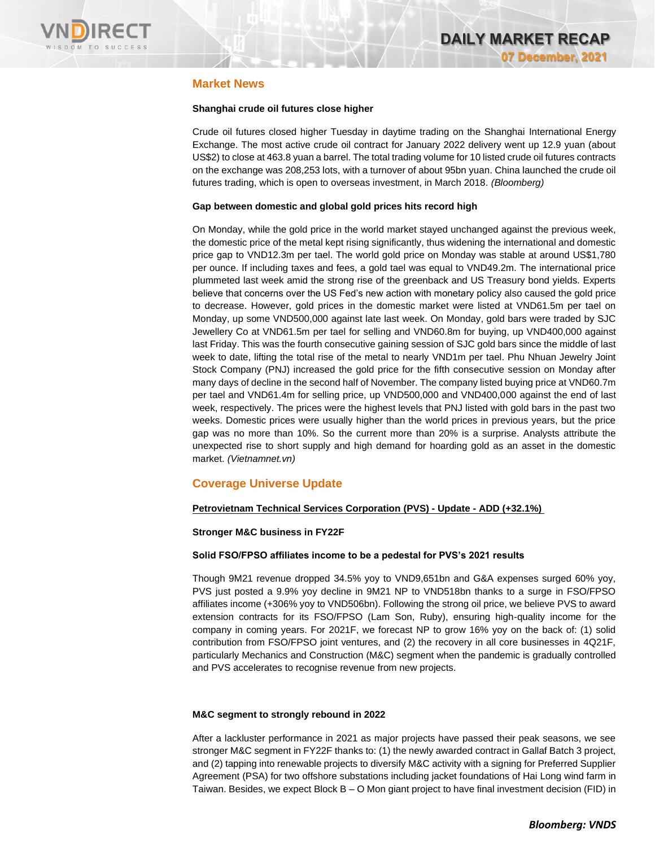

# **Market News**

## **Shanghai crude oil futures close higher**

Crude oil futures closed higher Tuesday in daytime trading on the Shanghai International Energy Exchange. The most active crude oil contract for January 2022 delivery went up 12.9 yuan (about US\$2) to close at 463.8 yuan a barrel. The total trading volume for 10 listed crude oil futures contracts on the exchange was 208,253 lots, with a turnover of about 95bn yuan. China launched the crude oil futures trading, which is open to overseas investment, in March 2018. *(Bloomberg)*

### **Gap between domestic and global gold prices hits record high**

On Monday, while the gold price in the world market stayed unchanged against the previous week, the domestic price of the metal kept rising significantly, thus widening the international and domestic price gap to VND12.3m per tael. The world gold price on Monday was stable at around US\$1,780 per ounce. If including taxes and fees, a gold tael was equal to VND49.2m. The international price plummeted last week amid the strong rise of the greenback and US Treasury bond yields. Experts believe that concerns over the US Fed's new action with monetary policy also caused the gold price to decrease. However, gold prices in the domestic market were listed at VND61.5m per tael on Monday, up some VND500,000 against late last week. On Monday, gold bars were traded by SJC Jewellery Co at VND61.5m per tael for selling and VND60.8m for buying, up VND400,000 against last Friday. This was the fourth consecutive gaining session of SJC gold bars since the middle of last week to date, lifting the total rise of the metal to nearly VND1m per tael. Phu Nhuan Jewelry Joint Stock Company (PNJ) increased the gold price for the fifth consecutive session on Monday after many days of decline in the second half of November. The company listed buying price at VND60.7m per tael and VND61.4m for selling price, up VND500,000 and VND400,000 against the end of last week, respectively. The prices were the highest levels that PNJ listed with gold bars in the past two weeks. Domestic prices were usually higher than the world prices in previous years, but the price gap was no more than 10%. So the current more than 20% is a surprise. Analysts attribute the unexpected rise to short supply and high demand for hoarding gold as an asset in the domestic market. *(Vietnamnet.vn)*

## **Coverage Universe Update**

### **Petrovietnam Technical Services Corporation (PVS) - Update - ADD (+32.1%)**

### **Stronger M&C business in FY22F**

### **Solid FSO/FPSO affiliates income to be a pedestal for PVS's 2021 results**

Though 9M21 revenue dropped 34.5% yoy to VND9,651bn and G&A expenses surged 60% yoy, PVS just posted a 9.9% yoy decline in 9M21 NP to VND518bn thanks to a surge in FSO/FPSO affiliates income (+306% yoy to VND506bn). Following the strong oil price, we believe PVS to award extension contracts for its FSO/FPSO (Lam Son, Ruby), ensuring high-quality income for the company in coming years. For 2021F, we forecast NP to grow 16% yoy on the back of: (1) solid contribution from FSO/FPSO joint ventures, and (2) the recovery in all core businesses in 4Q21F, particularly Mechanics and Construction (M&C) segment when the pandemic is gradually controlled and PVS accelerates to recognise revenue from new projects.

### **M&C segment to strongly rebound in 2022**

After a lackluster performance in 2021 as major projects have passed their peak seasons, we see stronger M&C segment in FY22F thanks to: (1) the newly awarded contract in Gallaf Batch 3 project, and (2) tapping into renewable projects to diversify M&C activity with a signing for Preferred Supplier Agreement (PSA) for two offshore substations including jacket foundations of Hai Long wind farm in Taiwan. Besides, we expect Block B – O Mon giant project to have final investment decision (FID) in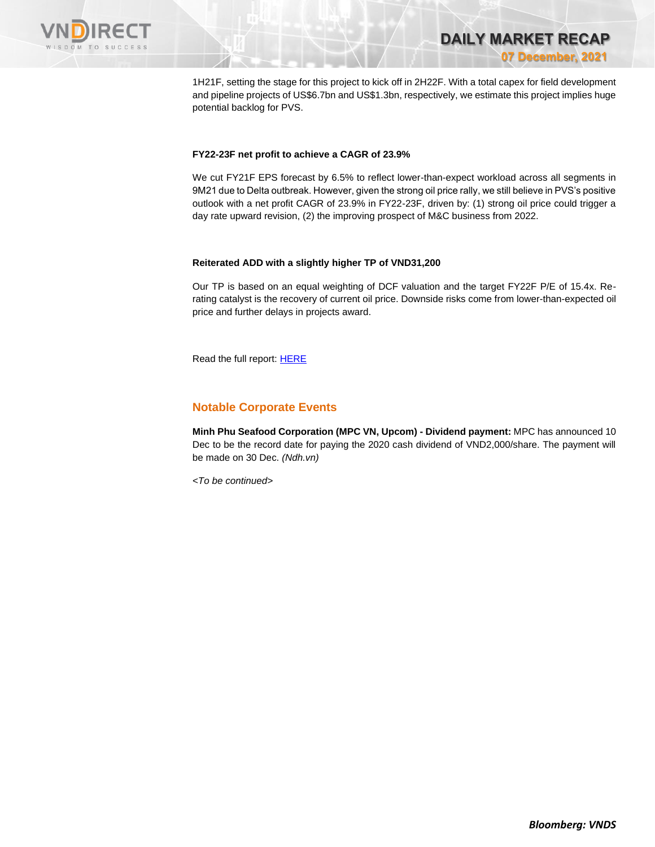

**DAILY MARKET RECAP 07 December, 2021**

1H21F, setting the stage for this project to kick off in 2H22F. With a total capex for field development and pipeline projects of US\$6.7bn and US\$1.3bn, respectively, we estimate this project implies huge potential backlog for PVS.

#### **FY22-23F net profit to achieve a CAGR of 23.9%**

We cut FY21F EPS forecast by 6.5% to reflect lower-than-expect workload across all segments in 9M21 due to Delta outbreak. However, given the strong oil price rally, we still believe in PVS's positive outlook with a net profit CAGR of 23.9% in FY22-23F, driven by: (1) strong oil price could trigger a day rate upward revision, (2) the improving prospect of M&C business from 2022.

#### **Reiterated ADD with a slightly higher TP of VND31,200**

Our TP is based on an equal weighting of DCF valuation and the target FY22F P/E of 15.4x. Rerating catalyst is the recovery of current oil price. Downside risks come from lower-than-expected oil price and further delays in projects award.

Read the full report[: HERE](https://nhanha-public-api.vndirect.com.vn/click/OGE0ODlmZDA3ODBmMjMzZDAxNzgwZmU1YWI2ZTAwMDU=/YmZjNmNlODY5NjhjNGVjZjk1ODQwOTRkODYxYjAwMGQ=/bfc6ce86968c4ecf9584094d861b000d-PVS_Update_20211207.pdf/cmVzZWFyY2hAdm5kaXJlY3QuY29tLnZu/Mzg2Nzc=)

## **Notable Corporate Events**

**Minh Phu Seafood Corporation (MPC VN, Upcom) - Dividend payment:** MPC has announced 10 Dec to be the record date for paying the 2020 cash dividend of VND2,000/share. The payment will be made on 30 Dec. *(Ndh.vn)*

*<To be continued>*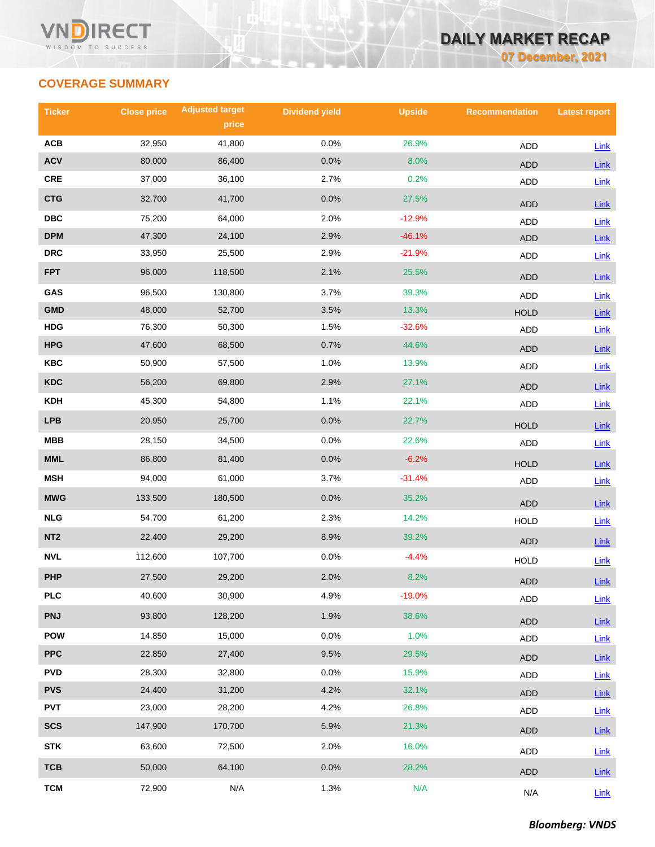

# **COVERAGE SUMMARY**

| <b>Ticker</b>           | <b>Close price</b> | <b>Adjusted target</b> | <b>Dividend yield</b> | <b>Upside</b> | <b>Recommendation</b> | <b>Latest report</b> |
|-------------------------|--------------------|------------------------|-----------------------|---------------|-----------------------|----------------------|
|                         |                    | price                  |                       |               |                       |                      |
| ACB                     | 32,950             | 41,800                 | 0.0%                  | 26.9%         | <b>ADD</b>            | Link                 |
| <b>ACV</b>              | 80,000             | 86,400                 | 0.0%                  | 8.0%          | ADD                   | Link                 |
| <b>CRE</b>              | 37,000             | 36,100                 | 2.7%                  | 0.2%          | ADD                   | Link                 |
| <b>CTG</b>              | 32,700             | 41,700                 | 0.0%                  | 27.5%         | <b>ADD</b>            | Link                 |
| $\overline{\text{DBC}}$ | 75,200             | 64,000                 | 2.0%                  | $-12.9%$      | <b>ADD</b>            | Link                 |
| <b>DPM</b>              | 47,300             | 24,100                 | 2.9%                  | $-46.1%$      | <b>ADD</b>            | $Link$               |
| <b>DRC</b>              | 33,950             | 25,500                 | 2.9%                  | $-21.9%$      | ADD                   | Link                 |
| <b>FPT</b>              | 96,000             | 118,500                | 2.1%                  | 25.5%         | <b>ADD</b>            | Link                 |
| GAS                     | 96,500             | 130,800                | 3.7%                  | 39.3%         | <b>ADD</b>            | Link                 |
| <b>GMD</b>              | 48,000             | 52,700                 | 3.5%                  | 13.3%         | <b>HOLD</b>           | Link                 |
| <b>HDG</b>              | 76,300             | 50,300                 | 1.5%                  | $-32.6%$      | ADD                   | Link                 |
| <b>HPG</b>              | 47,600             | 68,500                 | 0.7%                  | 44.6%         | <b>ADD</b>            | Link                 |
| <b>KBC</b>              | 50,900             | 57,500                 | 1.0%                  | 13.9%         | ADD                   | Link                 |
| <b>KDC</b>              | 56,200             | 69,800                 | 2.9%                  | 27.1%         | <b>ADD</b>            | Link                 |
| <b>KDH</b>              | 45,300             | 54,800                 | 1.1%                  | 22.1%         | <b>ADD</b>            | Link                 |
| <b>LPB</b>              | 20,950             | 25,700                 | 0.0%                  | 22.7%         | <b>HOLD</b>           | Link                 |
| <b>MBB</b>              | 28,150             | 34,500                 | 0.0%                  | 22.6%         | <b>ADD</b>            | Link                 |
| MML                     | 86,800             | 81,400                 | 0.0%                  | $-6.2%$       | <b>HOLD</b>           | Link                 |
| <b>MSH</b>              | 94,000             | 61,000                 | 3.7%                  | $-31.4%$      | ADD                   | Link                 |
| <b>MWG</b>              | 133,500            | 180,500                | 0.0%                  | 35.2%         | <b>ADD</b>            | Link                 |
| <b>NLG</b>              | 54,700             | 61,200                 | 2.3%                  | 14.2%         | <b>HOLD</b>           | Link                 |
| NT <sub>2</sub>         | 22,400             | 29,200                 | 8.9%                  | 39.2%         | <b>ADD</b>            | $Link$               |
| <b>NVL</b>              | 112,600            | 107,700                | 0.0%                  | $-4.4%$       | <b>HOLD</b>           | Link                 |
| <b>PHP</b>              | 27,500             | 29,200                 | 2.0%                  | 8.2%          | <b>ADD</b>            | Link                 |
| <b>PLC</b>              | 40,600             | 30,900                 | 4.9%                  | $-19.0%$      | ADD                   | Link                 |
| <b>PNJ</b>              | 93,800             | 128,200                | 1.9%                  | 38.6%         | ADD                   | Link                 |
| <b>POW</b>              | 14,850             | 15,000                 | 0.0%                  | 1.0%          | <b>ADD</b>            | Link                 |
| <b>PPC</b>              | 22,850             | 27,400                 | 9.5%                  | 29.5%         | <b>ADD</b>            | <b>Link</b>          |
| <b>PVD</b>              | 28,300             | 32,800                 | 0.0%                  | 15.9%         | ADD                   | Link                 |
| <b>PVS</b>              | 24,400             | 31,200                 | 4.2%                  | 32.1%         | <b>ADD</b>            | $Link$               |
| <b>PVT</b>              | 23,000             | 28,200                 | 4.2%                  | 26.8%         | ADD                   | Link                 |
| <b>SCS</b>              | 147,900            | 170,700                | 5.9%                  | 21.3%         | <b>ADD</b>            | $Link$               |
| <b>STK</b>              | 63,600             | 72,500                 | 2.0%                  | 16.0%         | <b>ADD</b>            | Link                 |
| <b>TCB</b>              | 50,000             | 64,100                 | $0.0\%$               | 28.2%         | ADD                   | Link                 |
| <b>TCM</b>              | 72,900             | N/A                    | 1.3%                  | N/A           | N/A                   | Link                 |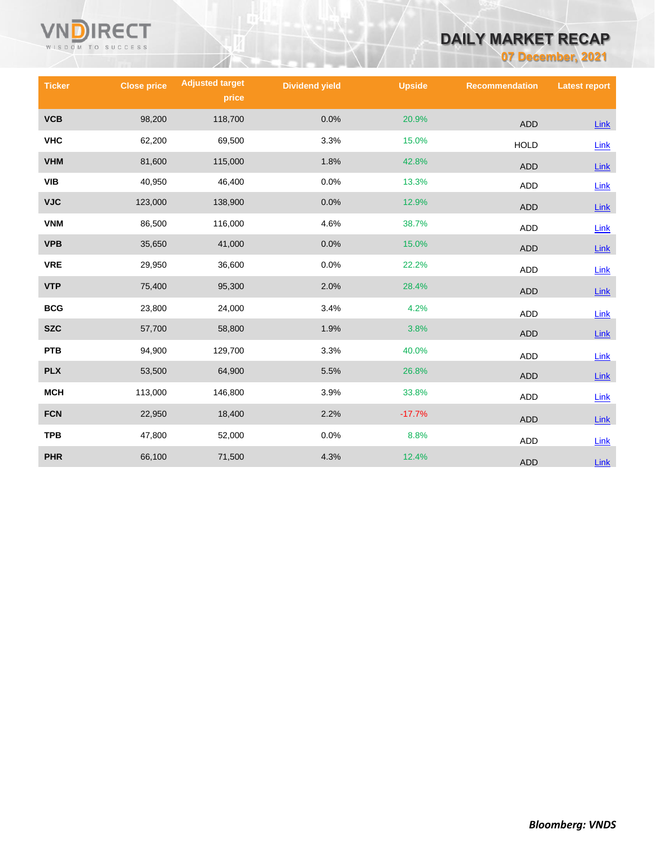

# **DAILY MARKET RECAP**

**07 December, 2021**

| <b>Ticker</b> | <b>Close price</b> | <b>Adjusted target</b><br>price | <b>Dividend yield</b> | <b>Upside</b> | <b>Recommendation</b> | <b>Latest report</b> |
|---------------|--------------------|---------------------------------|-----------------------|---------------|-----------------------|----------------------|
| <b>VCB</b>    | 98,200             | 118,700                         | 0.0%                  | 20.9%         | <b>ADD</b>            | Link                 |
| <b>VHC</b>    | 62,200             | 69,500                          | 3.3%                  | 15.0%         | <b>HOLD</b>           | Link                 |
| <b>VHM</b>    | 81,600             | 115,000                         | 1.8%                  | 42.8%         | <b>ADD</b>            | $Link$               |
| VIB           | 40,950             | 46,400                          | 0.0%                  | 13.3%         | <b>ADD</b>            | Link                 |
| <b>VJC</b>    | 123,000            | 138,900                         | 0.0%                  | 12.9%         | <b>ADD</b>            | $Link$               |
| <b>VNM</b>    | 86,500             | 116,000                         | 4.6%                  | 38.7%         | <b>ADD</b>            | Link                 |
| <b>VPB</b>    | 35,650             | 41,000                          | 0.0%                  | 15.0%         | <b>ADD</b>            | Link                 |
| <b>VRE</b>    | 29,950             | 36,600                          | 0.0%                  | 22.2%         | <b>ADD</b>            | Link                 |
| <b>VTP</b>    | 75,400             | 95,300                          | 2.0%                  | 28.4%         | <b>ADD</b>            | Link                 |
| <b>BCG</b>    | 23,800             | 24,000                          | 3.4%                  | 4.2%          | <b>ADD</b>            | $Link$               |
| <b>SZC</b>    | 57,700             | 58,800                          | 1.9%                  | 3.8%          | <b>ADD</b>            | $Link$               |
| <b>PTB</b>    | 94,900             | 129,700                         | 3.3%                  | 40.0%         | <b>ADD</b>            | Link                 |
| <b>PLX</b>    | 53,500             | 64,900                          | 5.5%                  | 26.8%         | <b>ADD</b>            | Link                 |
| <b>MCH</b>    | 113,000            | 146,800                         | 3.9%                  | 33.8%         | <b>ADD</b>            | Link                 |
| <b>FCN</b>    | 22,950             | 18,400                          | 2.2%                  | $-17.7%$      | <b>ADD</b>            | Link                 |
| <b>TPB</b>    | 47,800             | 52,000                          | 0.0%                  | 8.8%          | ADD                   | Link                 |
| <b>PHR</b>    | 66,100             | 71,500                          | 4.3%                  | 12.4%         | <b>ADD</b>            | <b>Link</b>          |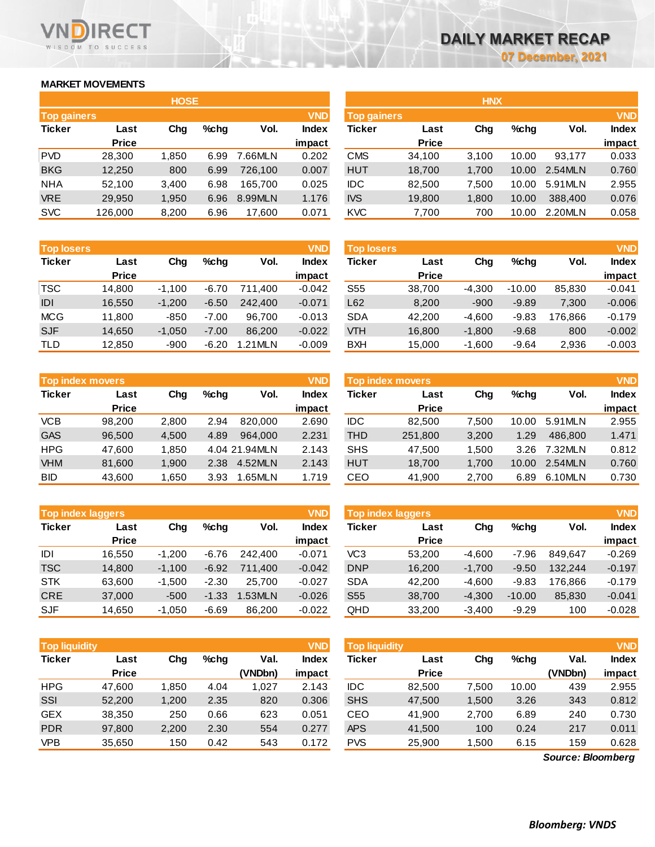**impact**

## **MARKET MOVEMENTS**

WISDOM TO SUCCESS

**RECT** 

|                    |              | <b>HOSE</b> |         |         |            | <b>HNX</b>    |              |       |       |         |            |
|--------------------|--------------|-------------|---------|---------|------------|---------------|--------------|-------|-------|---------|------------|
| <b>Top gainers</b> |              |             |         |         | <b>VND</b> | Top gainers   |              |       |       |         | <b>VND</b> |
| <b>Ticker</b>      | Last         | Chg         | $%$ chg | Vol.    | Index      | <b>Ticker</b> | Last         | Chg   | %chg  | Vol.    | Index      |
|                    | <b>Price</b> |             |         |         | impact     |               | <b>Price</b> |       |       |         | impact     |
| <b>PVD</b>         | 28,300       | 1,850       | 6.99    | '.66MLN | 0.202      | <b>CMS</b>    | 34,100       | 3.100 | 10.00 | 93.177  | 0.033      |
| <b>BKG</b>         | 12,250       | 800         | 6.99    | 726.100 | 0.007      | <b>HUT</b>    | 18,700       | 1,700 | 10.00 | 2.54MLN | 0.760      |
| <b>NHA</b>         | 52,100       | 3,400       | 6.98    | 165.700 | 0.025      | <b>IDC</b>    | 82,500       | 7.500 | 10.00 | 5.91MLN | 2.955      |
| <b>VRE</b>         | 29,950       | 1,950       | 6.96    | 8.99MLN | 1.176      | <b>IVS</b>    | 19,800       | 1,800 | 10.00 | 388,400 | 0.076      |
| <b>SVC</b>         | 126,000      | 8,200       | 6.96    | 17,600  | 0.071      | <b>KVC</b>    | 7,700        | 700   | 10.00 | 2.20MLN | 0.058      |

| <b>Top losers</b> | <b>VND</b>   |          |         |         |          | <b>Top losers</b> |              |          |          |         | <b>VND</b> |
|-------------------|--------------|----------|---------|---------|----------|-------------------|--------------|----------|----------|---------|------------|
| <b>Ticker</b>     | Last         | Chg      | $%$ chg | Vol.    | Index    | Ticker            | Last         | Chg      | $%$ chg  | Vol.    | Index      |
|                   | <b>Price</b> |          |         |         | impact   |                   | <b>Price</b> |          |          |         | impact     |
| <b>TSC</b>        | 14,800       | $-1.100$ | $-6.70$ | 711.400 | $-0.042$ | S55               | 38.700       | $-4,300$ | $-10.00$ | 85,830  | $-0.041$   |
| IDI               | 16,550       | $-1.200$ | $-6.50$ | 242,400 | $-0.071$ | L62               | 8,200        | $-900$   | $-9.89$  | 7,300   | $-0.006$   |
| <b>MCG</b>        | 11.800       | $-850$   | $-7.00$ | 96.700  | $-0.013$ | <b>SDA</b>        | 42.200       | $-4.600$ | $-9.83$  | 176.866 | $-0.179$   |
| <b>SJF</b>        | 14,650       | $-1,050$ | $-7.00$ | 86,200  | $-0.022$ | <b>VTH</b>        | 16,800       | $-1,800$ | $-9.68$  | 800     | $-0.002$   |
| <b>TLD</b>        | 12,850       | $-900$   | $-6.20$ | 1.21MLN | $-0.009$ | <b>BXH</b>        | 15,000       | $-1.600$ | $-9.64$  | 2,936   | $-0.003$   |

| Top index movers |              |       |         |               | <b>VND</b> | Top index movers |              |       |         |          | <b>VND</b> |
|------------------|--------------|-------|---------|---------------|------------|------------------|--------------|-------|---------|----------|------------|
| <b>Ticker</b>    | Last         | Chg   | $%$ chq | Vol.          | Index      | <b>Ticker</b>    | Last         | Chg   | $%$ chq | Vol.     | Index      |
|                  | <b>Price</b> |       |         |               | impact     |                  | <b>Price</b> |       |         |          | impact     |
| <b>VCB</b>       | 98.200       | 2,800 | 2.94    | 820,000       | 2.690      | <b>IDC</b>       | 82.500       | 7.500 | 10.00   | 5.91 MLN | 2.955      |
| <b>GAS</b>       | 96,500       | 4,500 | 4.89    | 964.000       | 2.231      | <b>THD</b>       | 251,800      | 3,200 | 1.29    | 486.800  | 1.471      |
| <b>HPG</b>       | 47.600       | 1.850 |         | 4.04 21.94MLN | 2.143      | <b>SHS</b>       | 47.500       | 1.500 | 3.26    | 7.32MLN  | 0.812      |
| <b>VHM</b>       | 81,600       | 1,900 | 2.38    | 4.52MLN       | 2.143      | <b>HUT</b>       | 18.700       | 1.700 | 10.00   | 2.54MLN  | 0.760      |
| <b>BID</b>       | 43,600       | .650  | 3.93    | .65MLN        | 1.719      | CEO              | 41,900       | 2,700 | 6.89    | 6.10MLN  | 0.730      |

| <b>Top index movers</b> |              |       |         |               | <b>VND</b>   |            | Top index movers |       |         |         | <b>VND</b>   |
|-------------------------|--------------|-------|---------|---------------|--------------|------------|------------------|-------|---------|---------|--------------|
| Ticker                  | Last         | Chg   | $%$ chq | Vol.          | <b>Index</b> | Ticker     | Last             | Chg   | $%$ chq | Vol.    | <b>Index</b> |
|                         | <b>Price</b> |       |         |               | impact       |            | <b>Price</b>     |       |         |         | impact       |
| <b>VCB</b>              | 98.200       | 2,800 | 2.94    | 820,000       | 2.690        | <b>IDC</b> | 82,500           | 7.500 | 10.00   | 5.91MLN | 2.955        |
| GAS                     | 96,500       | 4.500 | 4.89    | 964.000       | 2.231        | <b>THD</b> | 251,800          | 3,200 | 1.29    | 486.800 | 1.471        |
| HPG                     | 47,600       | 1.850 |         | 4.04 21.94MLN | 2.143        | <b>SHS</b> | 47.500           | 1.500 | 3.26    | 7.32MLN | 0.812        |
| <b>VHM</b>              | 81,600       | 1,900 | 2.38    | 4.52MLN       | 2.143        | <b>HUT</b> | 18,700           | 1.700 | 10.00   | 2.54MLN | 0.760        |
| BID.                    | 43.600       | .650  | 3.93    | 1.65MLN       | 1.719        | CEO        | 41.900           | 2.700 | 6.89    | 6.10MLN | 0.730        |

| Top index laggers |              |          |         |         | <b>VND</b>   | Top index laggers |              |          |          |         | <b>VND</b>   |
|-------------------|--------------|----------|---------|---------|--------------|-------------------|--------------|----------|----------|---------|--------------|
| Ticker            | Last         | Chg      | $%$ chq | Vol.    | <b>Index</b> | Ticker            | Last         | Chg      | $%$ chq  | Vol.    | <b>Index</b> |
|                   | <b>Price</b> |          |         |         | impact       |                   | <b>Price</b> |          |          |         | impact       |
| IDI               | 16.550       | $-1.200$ | $-6.76$ | 242,400 | $-0.071$     | VC3               | 53,200       | -4.600   | $-7.96$  | 849.647 | $-0.269$     |
| TSC               | 14,800       | $-1.100$ | $-6.92$ | 711.400 | $-0.042$     | <b>DNP</b>        | 16.200       | $-1.700$ | $-9.50$  | 132.244 | $-0.197$     |
| <b>STK</b>        | 63.600       | $-1.500$ | $-2.30$ | 25.700  | $-0.027$     | <b>SDA</b>        | 42.200       | $-4.600$ | $-9.83$  | 176.866 | $-0.179$     |
| <b>CRE</b>        | 37,000       | $-500$   | $-1.33$ | .53MLN  | $-0.026$     | S <sub>55</sub>   | 38,700       | $-4.300$ | $-10.00$ | 85.830  | $-0.041$     |
| SJF               | 14,650       | $-1,050$ | $-6.69$ | 86.200  | $-0.022$     | QHD               | 33,200       | $-3.400$ | $-9.29$  | 100     | $-0.028$     |

| <b>Top liquidity</b> |              |       |         |         | <b>VND</b> | <b>Top liquidity</b> |              |        |         |         | <b>VND</b>   |
|----------------------|--------------|-------|---------|---------|------------|----------------------|--------------|--------|---------|---------|--------------|
| <b>Ticker</b>        | Last         | Chg   | $%$ chq | Val.    | Index      | <b>Ticker</b>        | Last         | Chg    | $%$ chq | Val.    | <b>Index</b> |
|                      | <b>Price</b> |       |         | (VNDbn) | impact     |                      | <b>Price</b> |        |         | (VNDbn) | impact       |
| <b>HPG</b>           | 47,600       | 1,850 | 4.04    | 1,027   | 2.143      | <b>IDC</b>           | 82,500       | 500.'  | 10.00   | 439     | 2.955        |
| SSI                  | 52,200       | 1,200 | 2.35    | 820     | 0.306      | <b>SHS</b>           | 47,500       | 1,500  | 3.26    | 343     | 0.812        |
| <b>GEX</b>           | 38,350       | 250   | 0.66    | 623     | 0.051      | CEO                  | 41,900       | 2,700  | 6.89    | 240     | 0.730        |
| <b>PDR</b>           | 97,800       | 2,200 | 2.30    | 554     | 0.277      | <b>APS</b>           | 41,500       | 100    | 0.24    | 217     | 0.011        |
| <b>VPB</b>           | 35,650       | 150   | 0.42    | 543     | 0.172      | <b>PVS</b>           | 25,900       | 500. ا | 6.15    | 159     | 0.628        |

*Source: Bloomberg*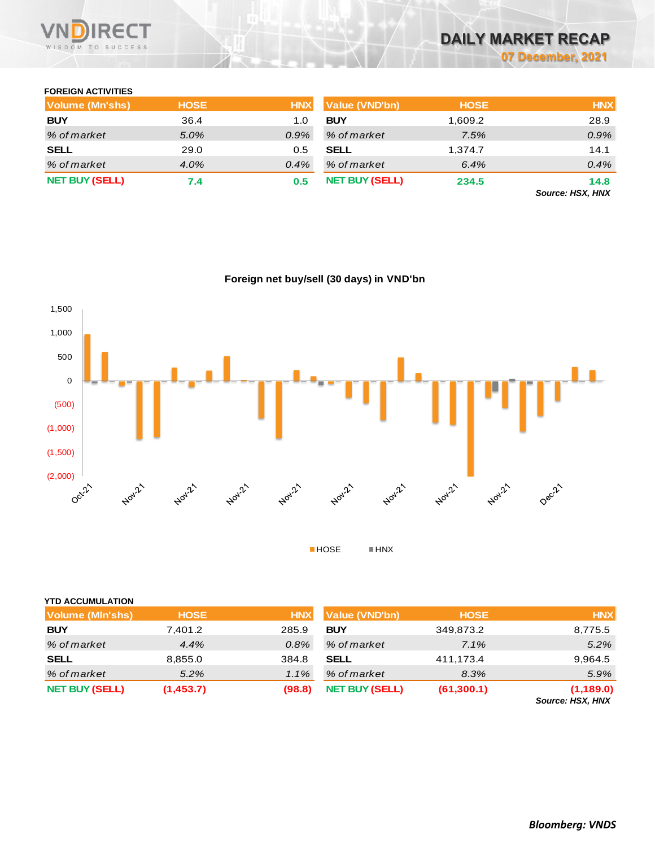

# **DAILY MARKET RECAP 07 December, 2021**

# **FOREIGN ACTIVITIES**

| Volume (Mn'shs)       | <b>HOSE</b> | <b>HNX</b> | Value (VND'bn)        | <b>HOSE</b> | <b>HNX</b>                                |
|-----------------------|-------------|------------|-----------------------|-------------|-------------------------------------------|
| <b>BUY</b>            | 36.4        | 1.0        | <b>BUY</b>            | 1.609.2     | 28.9                                      |
| % of market           | 5.0%        | $0.9\%$    | % of market           | 7.5%        | 0.9%                                      |
| <b>SELL</b>           | 29.0        | 0.5        | <b>SELL</b>           | 1.374.7     | 14.1                                      |
| % of market           | 4.0%        | $0.4\%$    | % of market           | 6.4%        | 0.4%                                      |
| <b>NET BUY (SELL)</b> | 7.4         | 0.5        | <b>NET BUY (SELL)</b> | 234.5       | 14.8                                      |
|                       |             |            |                       |             | $P_{\text{max}} = 110V$ $\overline{111V}$ |

*Source: HSX, HNX*



|  |  | Foreign net buy/sell (30 days) in VND'bn |
|--|--|------------------------------------------|
|  |  |                                          |

| <b>NET BUY (SELL)</b>   | (1,453.7)   | (98.8)     | <b>NET BUY (SELL)</b> | (61, 300.1) | (1,189.0)<br>Cause HOV HAIV |
|-------------------------|-------------|------------|-----------------------|-------------|-----------------------------|
| % of market             | 5.2%        | $1.1\%$    | % of market           | 8.3%        | 5.9%                        |
| <b>SELL</b>             | 8,855.0     | 384.8      | <b>SELL</b>           | 411,173.4   | 9,964.5                     |
| % of market             | 4.4%        | $0.8\%$    | % of market           | 7.1%        | 5.2%                        |
| <b>BUY</b>              | 7,401.2     | 285.9      | <b>BUY</b>            | 349,873.2   | 8,775.5                     |
| <b>Volume (MIn'shs)</b> | <b>HOSE</b> | <b>HNX</b> | Value (VND'bn)        | <b>HOSE</b> | <b>HNX</b>                  |
| <b>YTD ACCUMULATION</b> |             |            |                       |             |                             |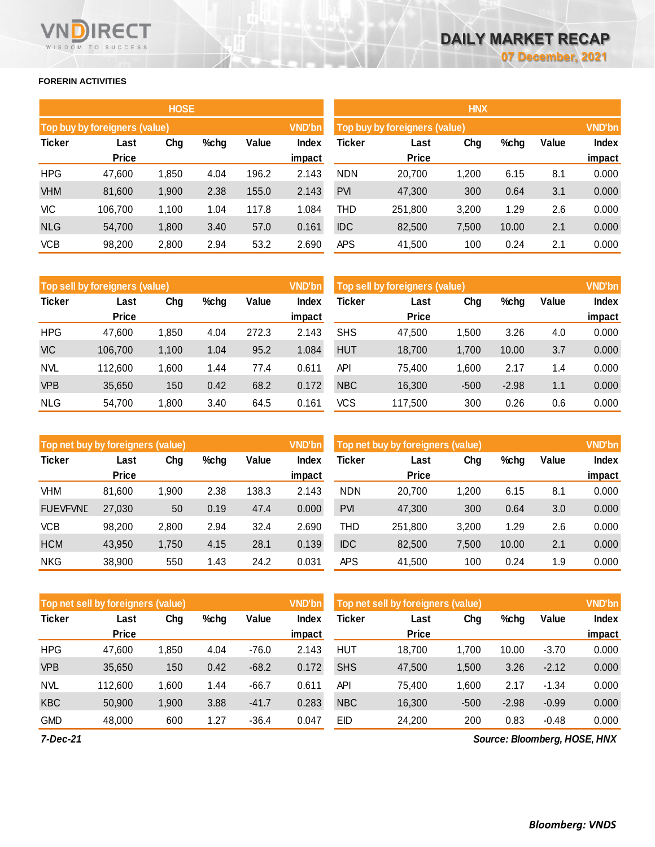## **FORERIN ACTIVITIES**

WISDOM TO SUCCESS

**RECT** 

VN

|               |                               | <b>HOSE</b> |      |       |               | <b>HNX</b>                    |              |       |         |       |               |
|---------------|-------------------------------|-------------|------|-------|---------------|-------------------------------|--------------|-------|---------|-------|---------------|
|               | Top buy by foreigners (value) |             |      |       | <b>VND'bn</b> | Top buy by foreigners (value) |              |       |         |       | <b>VND'bn</b> |
| <b>Ticker</b> | Last                          | Chg         | %chg | Value | <b>Index</b>  | <b>Ticker</b>                 | Last         | Chg   | $%$ chg | Value | Index         |
|               | <b>Price</b>                  |             |      |       | impact        |                               | <b>Price</b> |       |         |       | impact        |
| <b>HPG</b>    | 47,600                        | 1,850       | 4.04 | 196.2 | 2.143         | <b>NDN</b>                    | 20,700       | 1,200 | 6.15    | 8.1   | 0.000         |
| <b>VHM</b>    | 81,600                        | 1,900       | 2.38 | 155.0 | 2.143         | <b>PVI</b>                    | 47,300       | 300   | 0.64    | 3.1   | 0.000         |
| <b>VIC</b>    | 106,700                       | 1,100       | 1.04 | 117.8 | 1.084         | THD                           | 251,800      | 3,200 | 1.29    | 2.6   | 0.000         |
| <b>NLG</b>    | 54,700                        | 1,800       | 3.40 | 57.0  | 0.161         | <b>IDC</b>                    | 82,500       | 7,500 | 10.00   | 2.1   | 0.000         |
| <b>VCB</b>    | 98,200                        | 2,800       | 2.94 | 53.2  | 2.690         | <b>APS</b>                    | 41,500       | 100   | 0.24    | 2.1   | 0.000         |

|               | <b>HNX</b>                    |       |       |       |               |  |  |  |  |  |  |  |  |
|---------------|-------------------------------|-------|-------|-------|---------------|--|--|--|--|--|--|--|--|
|               | Top buy by foreigners (value) |       |       |       | <b>VND'bn</b> |  |  |  |  |  |  |  |  |
| <b>Ticker</b> | Last                          | Chg   |       | Value | <b>Index</b>  |  |  |  |  |  |  |  |  |
|               | <b>Price</b>                  |       |       |       | impact        |  |  |  |  |  |  |  |  |
| <b>NDN</b>    | 20,700                        | 1,200 | 6.15  | 8.1   | 0.000         |  |  |  |  |  |  |  |  |
| <b>PVI</b>    | 47,300                        | 300   | 0.64  | 3.1   | 0.000         |  |  |  |  |  |  |  |  |
| THD           | 251,800                       | 3,200 | 1.29  | 2.6   | 0.000         |  |  |  |  |  |  |  |  |
| <b>IDC</b>    | 82,500                        | 7,500 | 10.00 | 2.1   | 0.000         |  |  |  |  |  |  |  |  |
| <b>APS</b>    | 41,500                        | 100   | 0.24  | 2.1   | 0.000         |  |  |  |  |  |  |  |  |

|               | Top sell by foreigners (value) |       |      |       |        | Top sell by foreigners (value), |              |        |         |       | <b>VND'bn</b> |
|---------------|--------------------------------|-------|------|-------|--------|---------------------------------|--------------|--------|---------|-------|---------------|
| <b>Ticker</b> | Last                           | Chg   | %chg | Value | Index  | Ticker                          | Last         | Chg    | %chg    | Value | Index         |
|               | <b>Price</b>                   |       |      |       | impact |                                 | <b>Price</b> |        |         |       | impact        |
| <b>HPG</b>    | 47,600                         | 1,850 | 4.04 | 272.3 | 2.143  | <b>SHS</b>                      | 47,500       | 1,500  | 3.26    | 4.0   | 0.000         |
| <b>VIC</b>    | 106,700                        | 1,100 | 1.04 | 95.2  | 1.084  | <b>HUT</b>                      | 18,700       | 1,700  | 10.00   | 3.7   | 0.000         |
| <b>NVL</b>    | 112.600                        | 1,600 | 1.44 | 77.4  | 0.611  | API                             | 75.400       | 1.600  | 2.17    | 1.4   | 0.000         |
| <b>VPB</b>    | 35,650                         | 150   | 0.42 | 68.2  | 0.172  | <b>NBC</b>                      | 16,300       | $-500$ | $-2.98$ | 1.1   | 0.000         |
| <b>NLG</b>    | 54.700                         | 1,800 | 3.40 | 64.5  | 0.161  | VCS                             | 117.500      | 300    | 0.26    | 0.6   | 0.000         |

| Top net buy by foreigners (value) |                      |        |      |       | <b>VND'bn</b> | Top net buy by foreigners (value) |                      |        |       |       | <b>VND'bn</b> |
|-----------------------------------|----------------------|--------|------|-------|---------------|-----------------------------------|----------------------|--------|-------|-------|---------------|
| <b>Ticker</b>                     | Last<br><b>Price</b> | Chg    | %chg | Value | <b>Index</b>  | Ticker                            | Last<br><b>Price</b> | Chg    | %chg  | Value | <b>Index</b>  |
|                                   |                      |        |      |       | impact        |                                   |                      |        |       |       | impact        |
| <b>VHM</b>                        | 81,600               | 900, ا | 2.38 | 138.3 | 2.143         | <b>NDN</b>                        | 20.700               | 200, ا | 6.15  | 8.1   | 0.000         |
| <b>FUEVFVND</b>                   | 27,030               | 50     | 0.19 | 47.4  | 0.000         | <b>PVI</b>                        | 47,300               | 300    | 0.64  | 3.0   | 0.000         |
| <b>VCB</b>                        | 98,200               | 2,800  | 2.94 | 32.4  | 2.690         | THD                               | 251.800              | 3,200  | 1.29  | 2.6   | 0.000         |
| <b>HCM</b>                        | 43,950               | 1,750  | 4.15 | 28.1  | 0.139         | <b>IDC</b>                        | 82,500               | 7,500  | 10.00 | 2.1   | 0.000         |
| <b>NKG</b>                        | 38,900               | 550    | 1.43 | 24.2  | 0.031         | <b>APS</b>                        | 41.500               | 100    | 0.24  | 1.9   | 0.000         |

|               | Top net sell by foreigners (value) |       |      |         |                 |            |                      | Top net sell by foreigners (value) |         |         |                              |
|---------------|------------------------------------|-------|------|---------|-----------------|------------|----------------------|------------------------------------|---------|---------|------------------------------|
| <b>Ticker</b> | Last<br><b>Price</b>               | Chg   | %chg | Value   | Index<br>impact | Ticker     | Last<br><b>Price</b> | Chg                                | %chg    | Value   | Index<br>impact              |
| <b>HPG</b>    | 47,600                             | 1,850 | 4.04 | $-76.0$ | 2.143           | <b>HUT</b> | 18,700               | 1.700                              | 10.00   | $-3.70$ | 0.000                        |
| <b>VPB</b>    | 35,650                             | 150   | 0.42 | $-68.2$ | 0.172           | <b>SHS</b> | 47,500               | 1,500                              | 3.26    | $-2.12$ | 0.000                        |
| <b>NVL</b>    | 112,600                            | 1,600 | 1.44 | $-66.7$ | 0.611           | API        | 75,400               | 1,600                              | 2.17    | $-1.34$ | 0.000                        |
| <b>KBC</b>    | 50,900                             | 1,900 | 3.88 | $-41.7$ | 0.283           | <b>NBC</b> | 16,300               | $-500$                             | $-2.98$ | $-0.99$ | 0.000                        |
| <b>GMD</b>    | 48,000                             | 600   | 1.27 | $-36.4$ | 0.047           | EID        | 24,200               | 200                                | 0.83    | $-0.48$ | 0.000                        |
| 7.011.04      |                                    |       |      |         |                 |            |                      |                                    |         |         | Course: Disamborne HOCE HINV |

*Source: Bloomberg, HOSE, HNX*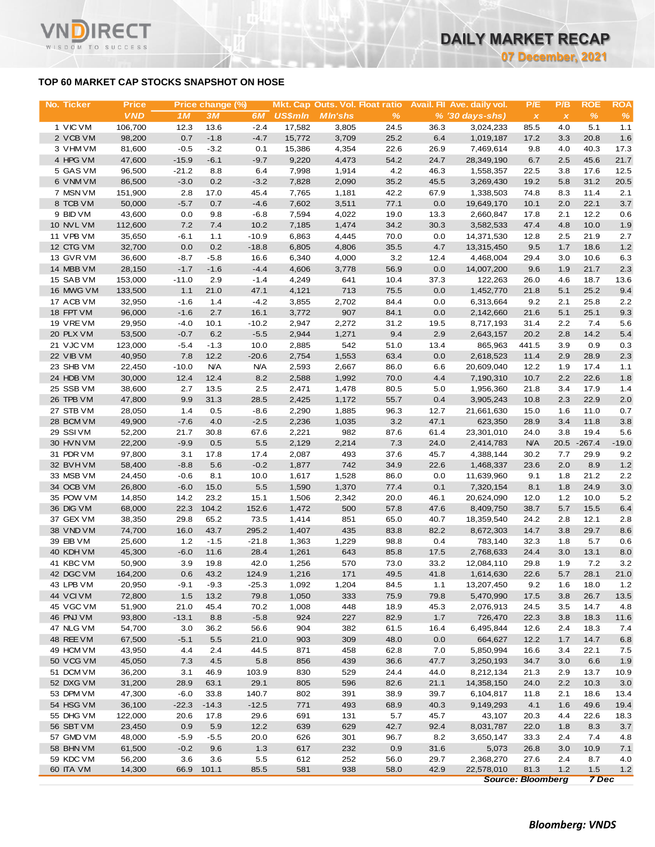**07 December, 2021**

# **TOP 60 MARKET CAP STOCKS SNAPSHOT ON HOSE**

WISDOM TO SUCCESS

| No. Ticker             | <b>Price</b>      |                   | Price change (%)   |                       |                 | <b>Mkt. Cap Outs. Vol. Float ratio</b> |              |              | Avail. Fil Ave. daily vol. | P/E          | P/B                       | <b>ROE</b>   | <b>ROA</b>   |
|------------------------|-------------------|-------------------|--------------------|-----------------------|-----------------|----------------------------------------|--------------|--------------|----------------------------|--------------|---------------------------|--------------|--------------|
|                        | <b>VND</b>        | 1M                | 3M                 | 6M                    | <b>US\$mln</b>  | <b>MIn'shs</b>                         | $\%$         |              | % (30 days-shs)            | $\pmb{\chi}$ | $\boldsymbol{\mathsf{x}}$ | $\%$         | $\%$         |
| 1 VIC VM               | 106,700           | 12.3              | 13.6               | $-2.4$                | 17,582          | 3,805                                  | 24.5         | 36.3         | 3,024,233                  | 85.5         | 4.0                       | 5.1          | 1.1          |
| 2 VCB VM               | 98,200            | 0.7               | $-1.8$             | $-4.7$                | 15,772          | 3,709                                  | 25.2         | 6.4          | 1,019,187                  | 17.2         | 3.3                       | 20.8         | 1.6          |
| 3 VHM VM<br>4 HPG VM   | 81,600<br>47,600  | $-0.5$<br>$-15.9$ | $-3.2$<br>$-6.1$   | 0.1<br>$-9.7$         | 15,386<br>9,220 | 4,354<br>4,473                         | 22.6<br>54.2 | 26.9<br>24.7 | 7,469,614<br>28,349,190    | 9.8<br>6.7   | $4.0\,$<br>2.5            | 40.3<br>45.6 | 17.3<br>21.7 |
| 5 GAS VM               | 96,500            | $-21.2$           | 8.8                | 6.4                   | 7,998           | 1,914                                  | 4.2          | 46.3         | 1,558,357                  | 22.5         | 3.8                       | 17.6         | 12.5         |
| 6 VNM VM               | 86,500            | $-3.0$            | 0.2                | $-3.2$                | 7,828           | 2,090                                  | 35.2         | 45.5         | 3,269,430                  | 19.2         | 5.8                       | 31.2         | 20.5         |
| 7 MSN VM               | 151,900           | 2.8               | 17.0               | 45.4                  | 7,765           | 1,181                                  | 42.2         | 67.9         | 1,338,503                  | 74.8         | 8.3                       | 11.4         | 2.1          |
| 8 TCB VM               | 50,000            | $-5.7$            | 0.7                | $-4.6$                | 7,602           | 3,511                                  | 77.1         | 0.0          | 19,649,170                 | 10.1         | 2.0                       | 22.1         | 3.7          |
| 9 BID VM               | 43,600            | 0.0               | 9.8                | $-6.8$                | 7,594           | 4,022                                  | 19.0         | 13.3         | 2,660,847                  | 17.8         | 2.1                       | 12.2         | 0.6          |
| 10 NVL VM              | 112,600           | 7.2               | 7.4                | 10.2                  | 7,185           | 1,474                                  | 34.2         | 30.3         | 3,582,533                  | 47.4         | 4.8                       | 10.0         | 1.9          |
| 11 VPB VM              | 35,650            | $-6.1$            | 1.1                | $-10.9$               | 6,863           | 4,445                                  | 70.0         | 0.0          | 14,371,530                 | 12.8         | 2.5                       | 21.9         | 2.7          |
| 12 CTG VM<br>13 GVR VM | 32,700            | 0.0<br>$-8.7$     | 0.2<br>$-5.8$      | $-18.8$<br>16.6       | 6,805           | 4,806<br>4,000                         | 35.5<br>3.2  | 4.7          | 13,315,450<br>4,468,004    | 9.5<br>29.4  | 1.7<br>3.0                | 18.6<br>10.6 | 1.2<br>6.3   |
| 14 MBB VM              | 36,600<br>28,150  | $-1.7$            | $-1.6$             | $-4.4$                | 6,340<br>4,606  | 3,778                                  | 56.9         | 12.4<br>0.0  | 14,007,200                 | 9.6          | 1.9                       | 21.7         | 2.3          |
| 15 SAB VM              | 153,000           | $-11.0$           | 2.9                | $-1.4$                | 4,249           | 641                                    | 10.4         | 37.3         | 122,263                    | 26.0         | 4.6                       | 18.7         | 13.6         |
| 16 MWG VM              | 133,500           | 1.1               | 21.0               | 47.1                  | 4,121           | 713                                    | 75.5         | 0.0          | 1,452,770                  | 21.8         | 5.1                       | 25.2         | 9.4          |
| 17 ACB VM              | 32,950            | $-1.6$            | 1.4                | $-4.2$                | 3,855           | 2,702                                  | 84.4         | 0.0          | 6,313,664                  | 9.2          | 2.1                       | 25.8         | 2.2          |
| 18 FPT VM              | 96,000            | $-1.6$            | 2.7                | 16.1                  | 3,772           | 907                                    | 84.1         | 0.0          | 2,142,660                  | 21.6         | 5.1                       | 25.1         | 9.3          |
| 19 VREVM               | 29,950            | $-4.0$            | 10.1               | $-10.2$               | 2,947           | 2,272                                  | 31.2         | 19.5         | 8,717,193                  | 31.4         | 2.2                       | 7.4          | 5.6          |
| 20 PLX VM              | 53,500            | $-0.7$            | 6.2                | $-5.5$                | 2,944           | 1,271                                  | 9.4          | 2.9          | 2,643,157                  | 20.2         | 2.8                       | 14.2         | 5.4          |
| 21 VJC VM              | 123,000           | $-5.4$            | $-1.3$             | 10.0                  | 2,885           | 542                                    | 51.0         | 13.4         | 865,963                    | 441.5        | 3.9                       | 0.9          | 0.3          |
| 22 VIB VM<br>23 SHB VM | 40,950<br>22,450  | 7.8<br>$-10.0$    | 12.2<br><b>N/A</b> | $-20.6$<br><b>N/A</b> | 2,754<br>2,593  | 1,553<br>2,667                         | 63.4<br>86.0 | 0.0<br>6.6   | 2,618,523<br>20,609,040    | 11.4<br>12.2 | 2.9<br>1.9                | 28.9<br>17.4 | 2.3<br>1.1   |
| 24 HDB VM              | 30,000            | 12.4              | 12.4               | 8.2                   | 2,588           | 1,992                                  | 70.0         | 4.4          | 7,190,310                  | 10.7         | 2.2                       | 22.6         | 1.8          |
| 25 SSB VM              | 38,600            | 2.7               | 13.5               | 2.5                   | 2,471           | 1,478                                  | 80.5         | 5.0          | 1,956,360                  | 21.8         | 3.4                       | 17.9         | 1.4          |
| 26 TPB VM              | 47,800            | 9.9               | 31.3               | 28.5                  | 2,425           | 1,172                                  | 55.7         | 0.4          | 3,905,243                  | 10.8         | 2.3                       | 22.9         | 2.0          |
| 27 STB VM              | 28,050            | 1.4               | 0.5                | $-8.6$                | 2,290           | 1,885                                  | 96.3         | 12.7         | 21,661,630                 | 15.0         | 1.6                       | 11.0         | 0.7          |
| 28 BCM VM              | 49,900            | $-7.6$            | 4.0                | $-2.5$                | 2,236           | 1,035                                  | 3.2          | 47.1         | 623,350                    | 28.9         | 3.4                       | 11.8         | 3.8          |
| 29 SSIVM               | 52,200            | 21.7              | 30.8               | 67.6                  | 2,221           | 982                                    | 87.6         | 61.4         | 23,301,010                 | 24.0         | 3.8                       | 19.4         | 5.6          |
| 30 HVN VM              | 22,200            | $-9.9$            | 0.5                | 5.5                   | 2,129           | 2,214                                  | 7.3          | 24.0         | 2,414,783                  | <b>N/A</b>   | 20.5                      | $-267.4$     | $-19.0$      |
| 31 PDR VM              | 97,800            | 3.1               | 17.8               | 17.4                  | 2,087           | 493                                    | 37.6         | 45.7         | 4,388,144                  | 30.2         | 7.7                       | 29.9<br>8.9  | 9.2          |
| 32 BVHVM<br>33 MSB VM  | 58,400<br>24,450  | $-8.8$<br>$-0.6$  | 5.6<br>8.1         | $-0.2$<br>10.0        | 1,877<br>1,617  | 742<br>1,528                           | 34.9<br>86.0 | 22.6<br>0.0  | 1,468,337<br>11,639,960    | 23.6<br>9.1  | 2.0<br>1.8                | 21.2         | 1.2<br>2.2   |
| 34 OCB VM              | 26,800            | $-6.0$            | 15.0               | 5.5                   | 1,590           | 1,370                                  | 77.4         | 0.1          | 7,320,154                  | 8.1          | 1.8                       | 24.9         | 3.0          |
| 35 POW VM              | 14,850            | 14.2              | 23.2               | 15.1                  | 1,506           | 2,342                                  | 20.0         | 46.1         | 20,624,090                 | 12.0         | $1.2$                     | 10.0         | 5.2          |
| 36 DIG VM              | 68,000            | 22.3              | 104.2              | 152.6                 | 1,472           | 500                                    | 57.8         | 47.6         | 8,409,750                  | 38.7         | 5.7                       | 15.5         | 6.4          |
| 37 GEX VM              | 38,350            | 29.8              | 65.2               | 73.5                  | 1,414           | 851                                    | 65.0         | 40.7         | 18,359,540                 | 24.2         | 2.8                       | 12.1         | 2.8          |
| 38 VND VM              | 74,700            | 16.0              | 43.7               | 295.2                 | 1,407           | 435                                    | 83.8         | 82.2         | 8,672,303                  | 14.7         | 3.8                       | 29.7         | 8.6          |
| 39 EIB VM              | 25,600            | 1.2               | $-1.5$             | $-21.8$               | 1,363           | 1,229                                  | 98.8         | 0.4          | 783,140                    | 32.3         | 1.8                       | 5.7          | 0.6          |
| 40 KDH VM              | 45,300            | $-6.0$            | 11.6               | 28.4                  | 1,261           | 643                                    | 85.8         | 17.5         | 2,768,633                  | 24.4         | 3.0                       | 13.1         | 8.0          |
| 41 KBC VM<br>42 DGC VM | 50,900<br>164,200 | 3.9<br>0.6        | 19.8<br>43.2       | 42.0<br>124.9         | 1,256<br>1,216  | 570<br>171                             | 73.0<br>49.5 | 33.2<br>41.8 | 12,084,110<br>1,614,630    | 29.8<br>22.6 | 1.9<br>5.7                | 7.2<br>28.1  | 3.2<br>21.0  |
| 43 LPB VM              | 20,950            | $-9.1$            | $-9.3$             | $-25.3$               | 1,092           | 1,204                                  | 84.5         | 1.1          | 13,207,450                 | 9.2          | 1.6                       | 18.0         | 1.2          |
| 44 VCIVM               | 72,800            | 1.5               | 13.2               | 79.8                  | 1,050           | 333                                    | 75.9         | 79.8         | 5,470,990                  | 17.5         | 3.8                       | 26.7         | 13.5         |
| 45 VGC VM              | 51,900            | 21.0              | 45.4               | 70.2                  | 1,008           | 448                                    | 18.9         | 45.3         | 2,076,913                  | 24.5         | 3.5                       | 14.7         | 4.8          |
| 46 PNJ VM              | 93,800            | $-13.1$           | 8.8                | $-5.8$                | 924             | 227                                    | 82.9         | 1.7          | 726,470                    | 22.3         | 3.8                       | 18.3         | 11.6         |
| 47 NLG VM              | 54,700            | 3.0               | 36.2               | 56.6                  | 904             | 382                                    | 61.5         | 16.4         | 6,495,844                  | 12.6         | 2.4                       | 18.3         | 7.4          |
| 48 REE VM              | 67,500            | $-5.1$            | 5.5                | 21.0                  | 903             | 309                                    | 48.0         | 0.0          | 664,627                    | 12.2         | 1.7                       | 14.7         | 6.8          |
| 49 HCM VM              | 43,950            | 4.4               | 2.4                | 44.5                  | 871             | 458                                    | 62.8         | 7.0          | 5,850,994                  | 16.6         | 3.4                       | 22.1         | 7.5          |
| 50 VCG VM              | 45,050            | 7.3               | 4.5                | 5.8                   | 856             | 439                                    | 36.6         | 47.7         | 3,250,193                  | 34.7         | 3.0                       | 6.6          | 1.9          |
| 51 DCM VM              | 36,200            | 3.1               | 46.9               | 103.9<br>29.1         | 830<br>805      | 529                                    | 24.4         | 44.0         | 8,212,134                  | 21.3         | 2.9<br>2.2                | 13.7         | 10.9         |
| 52 DXG VM<br>53 DPM VM | 31,200<br>47,300  | 28.9<br>$-6.0$    | 63.1<br>33.8       | 140.7                 | 802             | 596<br>391                             | 82.6<br>38.9 | 21.1<br>39.7 | 14,358,150<br>6,104,817    | 24.0<br>11.8 | 2.1                       | 10.3<br>18.6 | 3.0<br>13.4  |
| 54 HSG VM              | 36,100            | $-22.3$           | $-14.3$            | $-12.5$               | 771             | 493                                    | 68.9         | 40.3         | 9,149,293                  | 4.1          | 1.6                       | 49.6         | 19.4         |
| 55 DHG VM              | 122,000           | 20.6              | 17.8               | 29.6                  | 691             | 131                                    | 5.7          | 45.7         | 43,107                     | 20.3         | 4.4                       | 22.6         | 18.3         |
| 56 SBT VM              | 23,450            | 0.9               | 5.9                | 12.2                  | 639             | 629                                    | 42.7         | 92.4         | 8,031,787                  | 22.0         | 1.8                       | 8.3          | 3.7          |
| 57 GMD VM              | 48,000            | $-5.9$            | $-5.5$             | 20.0                  | 626             | 301                                    | 96.7         | 8.2          | 3,650,147                  | 33.3         | 2.4                       | 7.4          | 4.8          |
| 58 BHN VM              | 61,500            | $-0.2$            | 9.6                | 1.3                   | 617             | 232                                    | 0.9          | 31.6         | 5,073                      | 26.8         | 3.0                       | 10.9         | 7.1          |
| 59 KDC VM              | 56,200            | 3.6               | 3.6                | 5.5                   | 612             | 252                                    | 56.0         | 29.7         | 2,368,270                  | 27.6         | 2.4                       | 8.7          | 4.0          |
| 60 ITA VM              | 14,300            | 66.9              | 101.1              | 85.5                  | 581             | 938                                    | 58.0         | 42.9         | 22,578,010                 | 81.3         | 1.2                       | 1.5          | 1.2          |